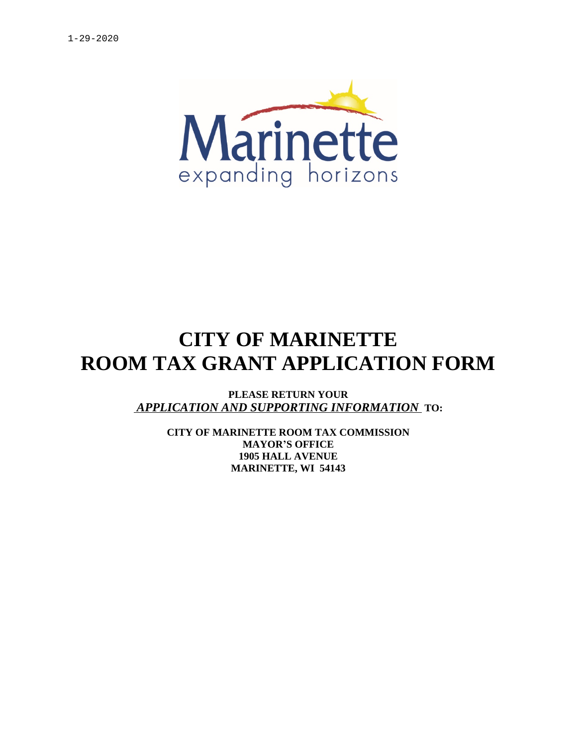

# **CITY OF MARINETTE ROOM TAX GRANT APPLICATION FORM**

**PLEASE RETURN YOUR**  *APPLICATION AND SUPPORTING INFORMATION* **TO:**

> **CITY OF MARINETTE ROOM TAX COMMISSION MAYOR'S OFFICE 1905 HALL AVENUE MARINETTE, WI 54143**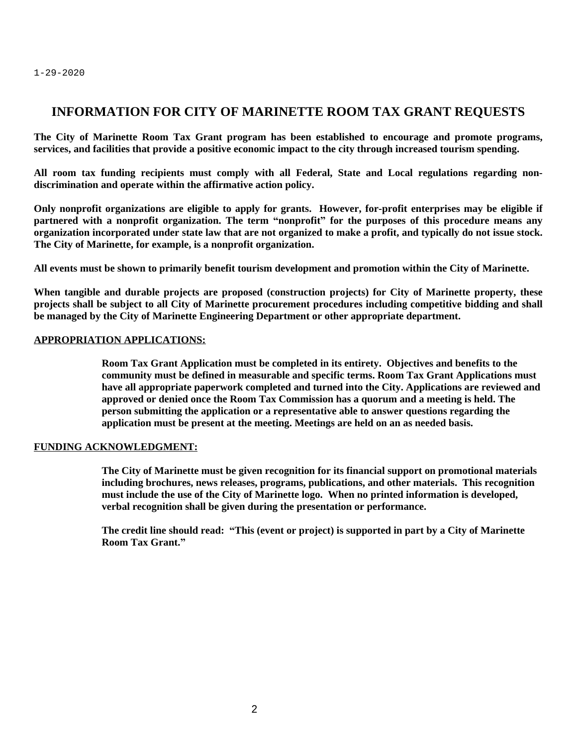### **INFORMATION FOR CITY OF MARINETTE ROOM TAX GRANT REQUESTS**

**The City of Marinette Room Tax Grant program has been established to encourage and promote programs, services, and facilities that provide a positive economic impact to the city through increased tourism spending.**

**All room tax funding recipients must comply with all Federal, State and Local regulations regarding nondiscrimination and operate within the affirmative action policy.**

Only nonprofit organizations are eligible to apply for grants. However, for-profit enterprises may be eligible if partnered with a nonprofit organization. The term "nonprofit" for the purposes of this procedure means any organization incorporated under state law that are not organized to make a profit, and typically do not issue stock. **The City of Marinette, for example, is a nonprofit organization.**

**All events must be shown to primarily benefit tourism development and promotion within the City of Marinette.**

**When tangible and durable projects are proposed (construction projects) for City of Marinette property, these** projects shall be subject to all City of Marinette procurement procedures including competitive bidding and shall **be managed by the City of Marinette Engineering Department or other appropriate department.**

#### **APPROPRIATION APPLICATIONS:**

**Room Tax Grant Application must be completed in its entirety. Objectives and benefits to the community must be defined in measurable and specific terms. Room Tax Grant Applications must have all appropriate paperwork completed and turned into the City. Applications are reviewed and approved or denied once the Room Tax Commission has a quorum and a meeting is held. The person submitting the application or a representative able to answer questions regarding the application must be present at the meeting. Meetings are held on an as needed basis.**

#### **FUNDING ACKNOWLEDGMENT:**

**The City of Marinette must be given recognition for its financial support on promotional materials including brochures, news releases, programs, publications, and other materials. This recognition must include the use of the City of Marinette logo. When no printed information is developed, verbal recognition shall be given during the presentation or performance.**

**The credit line should read: "This (event or project) is supported in part by a City of Marinette Room Tax Grant."**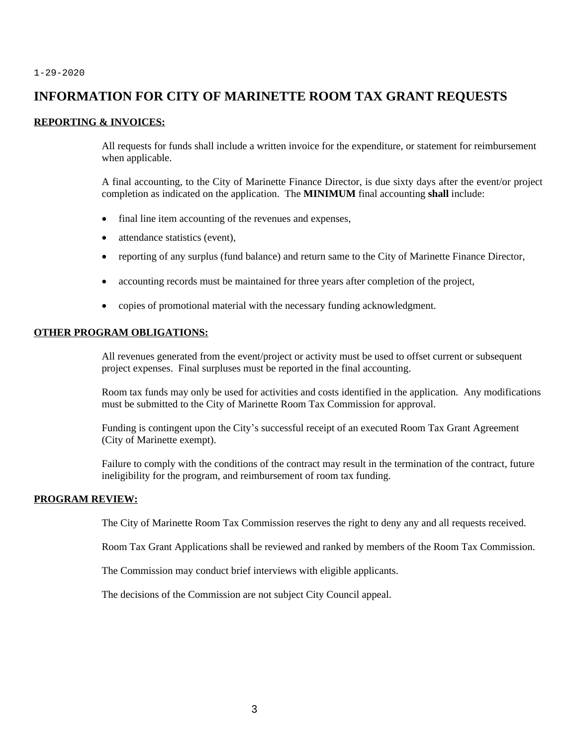### **INFORMATION FOR CITY OF MARINETTE ROOM TAX GRANT REQUESTS**

#### **REPORTING & INVOICES:**

All requests for funds shall include a written invoice for the expenditure, or statement for reimbursement when applicable.

A final accounting, to the City of Marinette Finance Director, is due sixty days after the event/or project completion as indicated on the application. The **MINIMUM** final accounting **shall** include:

- final line item accounting of the revenues and expenses,
- attendance statistics (event),
- reporting of any surplus (fund balance) and return same to the City of Marinette Finance Director,
- accounting records must be maintained for three years after completion of the project,
- copies of promotional material with the necessary funding acknowledgment.

#### **OTHER PROGRAM OBLIGATIONS:**

All revenues generated from the event/project or activity must be used to offset current or subsequent project expenses. Final surpluses must be reported in the final accounting.

Room tax funds may only be used for activities and costs identified in the application. Any modifications must be submitted to the City of Marinette Room Tax Commission for approval.

Funding is contingent upon the City's successful receipt of an executed Room Tax Grant Agreement (City of Marinette exempt).

Failure to comply with the conditions of the contract may result in the termination of the contract, future ineligibility for the program, and reimbursement of room tax funding.

#### **PROGRAM REVIEW:**

The City of Marinette Room Tax Commission reserves the right to deny any and all requests received.

Room Tax Grant Applications shall be reviewed and ranked by members of the Room Tax Commission.

The Commission may conduct brief interviews with eligible applicants.

The decisions of the Commission are not subject City Council appeal.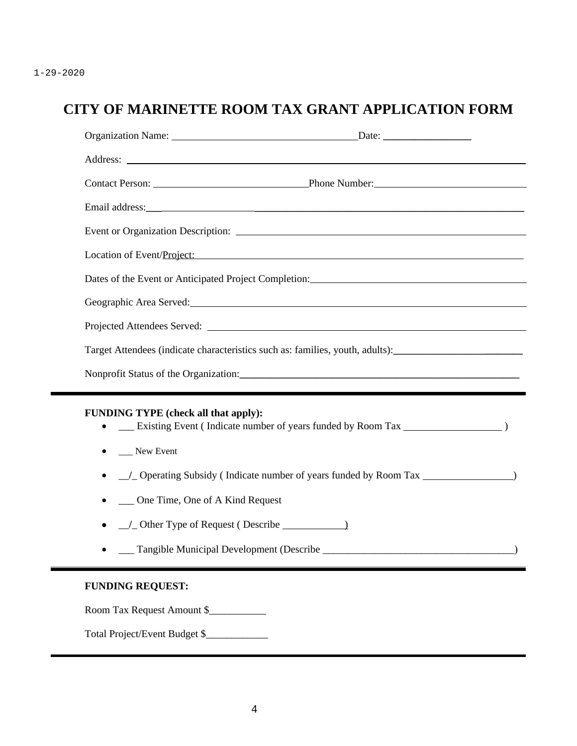# **CITY OF MARINETTE ROOM TAX GRANT APPLICATION FORM**

| Location of Event/Project:                                                                                                                   |  |
|----------------------------------------------------------------------------------------------------------------------------------------------|--|
| Dates of the Event or Anticipated Project Completion:                                                                                        |  |
|                                                                                                                                              |  |
|                                                                                                                                              |  |
| Target Attendees (indicate characteristics such as: families, youth, adults):_______________________                                         |  |
|                                                                                                                                              |  |
| FUNDING TYPE (check all that apply):<br>New Event<br>__ One Time, One of A Kind Request<br>$\angle$ Other Type of Request (Describe $\angle$ |  |
| <b>FUNDING REQUEST:</b>                                                                                                                      |  |

Room Tax Request Amount \$

Total Project/Event Budget \$\_\_\_\_\_\_\_\_\_\_\_\_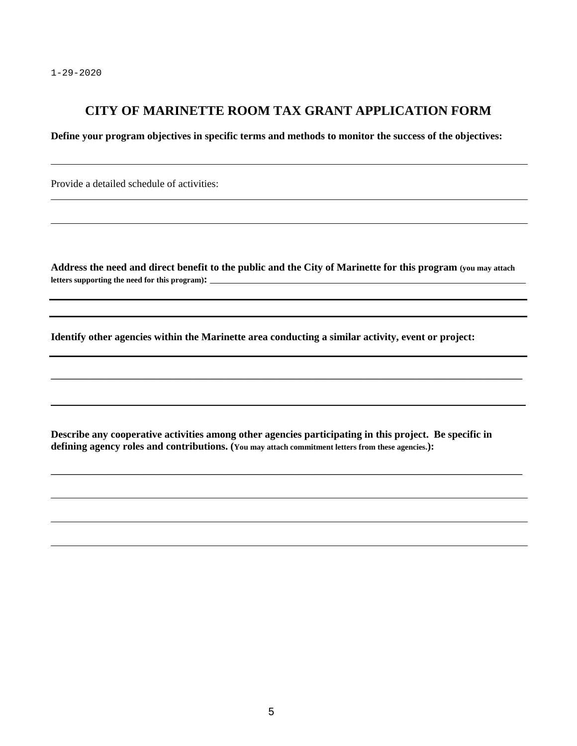$\overline{a}$ 

 $\overline{a}$ 

### **CITY OF MARINETTE ROOM TAX GRANT APPLICATION FORM**

**Define your program objectives in specific terms and methods to monitor the success of the objectives:**

Provide a detailed schedule of activities:

**Address the need and direct benefit to the public and the City of Marinette for this program (you may attach letters supporting the need for this program):** 

 $\_$  ,  $\_$  ,  $\_$  ,  $\_$  ,  $\_$  ,  $\_$  ,  $\_$  ,  $\_$  ,  $\_$  ,  $\_$  ,  $\_$  ,  $\_$  ,  $\_$  ,  $\_$  ,  $\_$  ,  $\_$  ,  $\_$  ,  $\_$  ,  $\_$  ,  $\_$  ,  $\_$  ,  $\_$  ,  $\_$  ,  $\_$  ,  $\_$  ,  $\_$  ,  $\_$  ,  $\_$  ,  $\_$  ,  $\_$  ,  $\_$  ,  $\_$  ,  $\_$  ,  $\_$  ,  $\_$  ,  $\_$  ,  $\_$  ,

 $\_$  ,  $\_$  ,  $\_$  ,  $\_$  ,  $\_$  ,  $\_$  ,  $\_$  ,  $\_$  ,  $\_$  ,  $\_$  ,  $\_$  ,  $\_$  ,  $\_$  ,  $\_$  ,  $\_$  ,  $\_$  ,  $\_$  ,  $\_$  ,  $\_$  ,  $\_$  ,  $\_$  ,  $\_$  ,  $\_$  ,  $\_$  ,  $\_$  ,  $\_$  ,  $\_$  ,  $\_$  ,  $\_$  ,  $\_$  ,  $\_$  ,  $\_$  ,  $\_$  ,  $\_$  ,  $\_$  ,  $\_$  ,  $\_$  ,

**Identify other agencies within the Marinette area conducting a similar activity, event or project:**

**Describe any cooperative activities among other agencies participating in this project. Be specific in defining agency roles and contributions. (You may attach commitment letters from these agencies.):**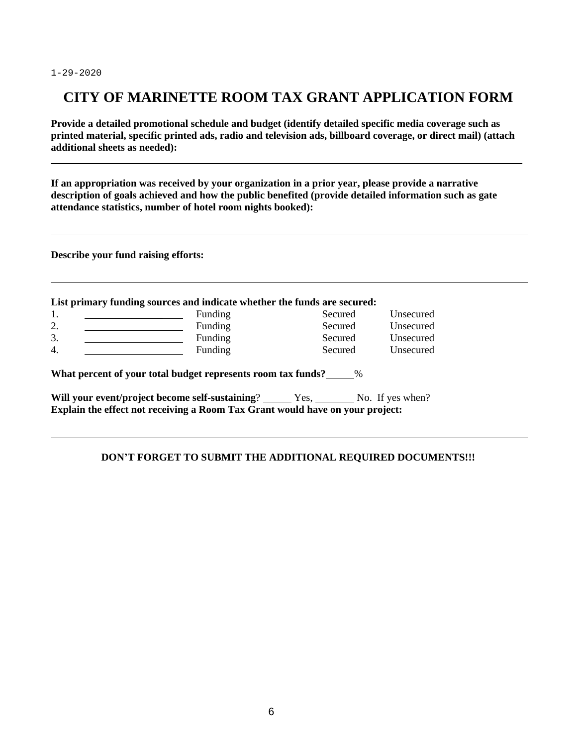$\overline{a}$ 

 $\overline{a}$ 

### **CITY OF MARINETTE ROOM TAX GRANT APPLICATION FORM**

**Provide a detailed promotional schedule and budget (identify detailed specific media coverage such as printed material, specific printed ads, radio and television ads, billboard coverage, or direct mail) (attach additional sheets as needed):**

 $\_$  ,  $\_$  ,  $\_$  ,  $\_$  ,  $\_$  ,  $\_$  ,  $\_$  ,  $\_$  ,  $\_$  ,  $\_$  ,  $\_$  ,  $\_$  ,  $\_$  ,  $\_$  ,  $\_$  ,  $\_$  ,  $\_$  ,  $\_$  ,  $\_$  ,  $\_$  ,  $\_$  ,  $\_$  ,  $\_$  ,  $\_$  ,  $\_$  ,  $\_$  ,  $\_$  ,  $\_$  ,  $\_$  ,  $\_$  ,  $\_$  ,  $\_$  ,  $\_$  ,  $\_$  ,  $\_$  ,  $\_$  ,  $\_$  ,

**If an appropriation was received by your organization in a prior year, please provide a narrative description of goals achieved and how the public benefited (provide detailed information such as gate attendance statistics, number of hotel room nights booked):** 

**Describe your fund raising efforts:**

| 1.               | Funding                                                              | Secured | Unsecured |
|------------------|----------------------------------------------------------------------|---------|-----------|
| 2.               | Funding                                                              | Secured | Unsecured |
| 3.               | Funding                                                              | Secured | Unsecured |
| $\overline{4}$ . | Funding                                                              | Secured | Unsecured |
|                  | What percent of your total budget represents room tax funds? 6.120 % |         |           |

**Explain the effect not receiving a Room Tax Grant would have on your project:**

#### **DON'T FORGET TO SUBMIT THE ADDITIONAL REQUIRED DOCUMENTS!!!**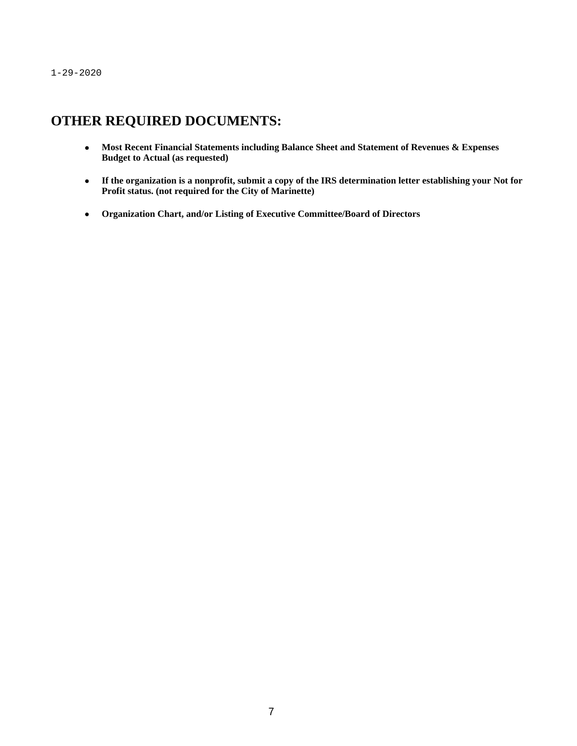# **OTHER REQUIRED DOCUMENTS:**

- **Most Recent Financial Statements including Balance Sheet and Statement of Revenues & Expenses Budget to Actual (as requested)**
- **If the organization is a nonprofit, submit a copy of the IRS determination letter establishing your Not for Profit status. (not required for the City of Marinette)**
- **Organization Chart, and/or Listing of Executive Committee/Board of Directors**